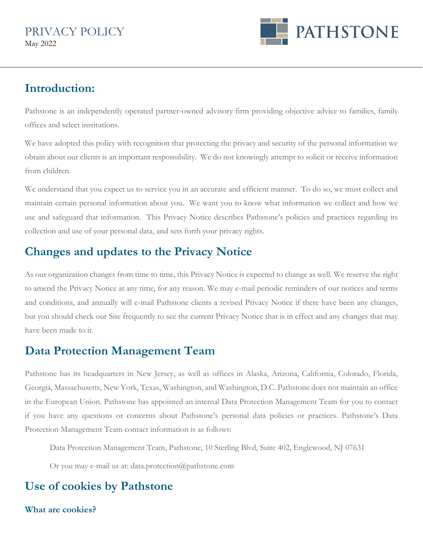

## **Introduction:**

Pathstone is an independently operated partner-owned advisory firm providing objective advice to families, family offices and select institutions.

We have adopted this policy with recognition that protecting the privacy and security of the personal information we obtain about our clients is an important responsibility. We do not knowingly attempt to solicit or receive information from children.

We understand that you expect us to service you in an accurate and efficient manner. To do so, we must collect and maintain certain personal information about you. We want you to know what information we collect and how we use and safeguard that information. This Privacy Notice describes Pathstone's policies and practices regarding its collection and use of your personal data, and sets forth your privacy rights.

# **Changes and updates to the Privacy Notice**

As our organization changes from time to time, this Privacy Notice is expected to change as well. We reserve the right to amend the Privacy Notice at any time, for any reason. We may e-mail periodic reminders of our notices and terms and conditions, and annually will e-mail Pathstone clients a revised Privacy Notice if there have been any changes, but you should check our Site frequently to see the current Privacy Notice that is in effect and any changes that may have been made to it.

# **Data Protection Management Team**

Pathstone has its headquarters in New Jersey, as well as offices in Alaska, Arizona, California, Colorado, Florida, Georgia, Massachusetts, New York, Texas, Washington, and Washington, D.C. Pathstone does not maintain an office in the European Union. Pathstone has appointed an internal Data Protection Management Team for you to contact if you have any questions or concerns about Pathstone's personal data policies or practices. Pathstone's Data Protection Management Team contact information is as follows:

Data Protection Management Team, Pathstone, 10 Sterling Blvd, Suite 402, Englewood, NJ 07631

Or you may e-mail us at: data.protection@pathstone.com

# **Use of cookies by Pathstone**

#### **What are cookies?**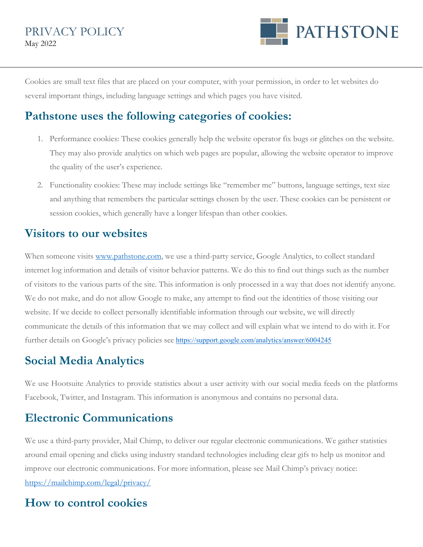

Cookies are small text files that are placed on your computer, with your permission, in order to let websites do several important things, including language settings and which pages you have visited.

## **Pathstone uses the following categories of cookies:**

- 1. Performance cookies: These cookies generally help the website operator fix bugs or glitches on the website. They may also provide analytics on which web pages are popular, allowing the website operator to improve the quality of the user's experience.
- 2. Functionality cookies: These may include settings like "remember me" buttons, language settings, text size and anything that remembers the particular settings chosen by the user. These cookies can be persistent or session cookies, which generally have a longer lifespan than other cookies.

### **Visitors to our websites**

When someone visits [www.pathstone.com,](http://www.pathstone.com/) we use a third-party service, Google Analytics, to collect standard internet log information and details of visitor behavior patterns. We do this to find out things such as the number of visitors to the various parts of the site. This information is only processed in a way that does not identify anyone. We do not make, and do not allow Google to make, any attempt to find out the identities of those visiting our website. If we decide to collect personally identifiable information through our website, we will directly communicate the details of this information that we may collect and will explain what we intend to do with it. For further details on Google's privacy policies see <https://support.google.com/analytics/answer/6004245>

# **Social Media Analytics**

We use Hootsuite Analytics to provide statistics about a user activity with our social media feeds on the platforms Facebook, Twitter, and Instagram. This information is anonymous and contains no personal data.

## **Electronic Communications**

We use a third-party provider, Mail Chimp, to deliver our regular electronic communications. We gather statistics around email opening and clicks using industry standard technologies including clear gifs to help us monitor and improve our electronic communications. For more information, please see Mail Chimp's privacy notice: <https://mailchimp.com/legal/privacy/>

## **How to control cookies**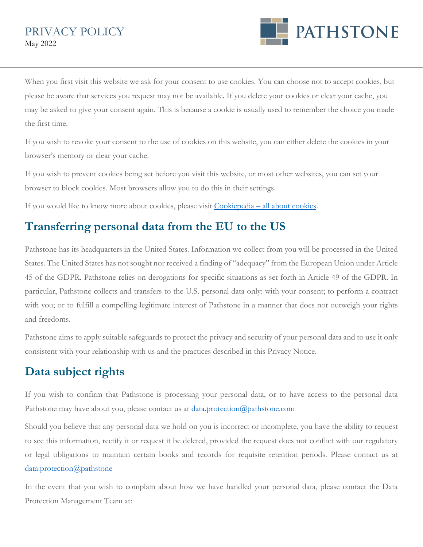

When you first visit this website we ask for your consent to use cookies. You can choose not to accept cookies, but please be aware that services you request may not be available. If you delete your cookies or clear your cache, you may be asked to give your consent again. This is because a cookie is usually used to remember the choice you made the first time.

If you wish to revoke your consent to the use of cookies on this website, you can either delete the cookies in your browser's memory or clear your cache.

If you wish to prevent cookies being set before you visit this website, or most other websites, you can set your browser to block cookies. Most browsers allow you to do this in their settings.

If you would like to know more about cookies, please visit [Cookiepedia – all about cookies.](https://cookiepedia.co.uk/all-about-cookies)

# **Transferring personal data from the EU to the US**

Pathstone has its headquarters in the United States. Information we collect from you will be processed in the United States. The United States has not sought nor received a finding of "adequacy" from the European Union under Article 45 of the GDPR. Pathstone relies on derogations for specific situations as set forth in Article 49 of the GDPR. In particular, Pathstone collects and transfers to the U.S. personal data only: with your consent; to perform a contract with you; or to fulfill a compelling legitimate interest of Pathstone in a manner that does not outweigh your rights and freedoms.

Pathstone aims to apply suitable safeguards to protect the privacy and security of your personal data and to use it only consistent with your relationship with us and the practices described in this Privacy Notice.

# **Data subject rights**

If you wish to confirm that Pathstone is processing your personal data, or to have access to the personal data Pathstone may have about you, please contact us at **data.protection@pathstone.com** 

Should you believe that any personal data we hold on you is incorrect or incomplete, you have the ability to request to see this information, rectify it or request it be deleted, provided the request does not conflict with our regulatory or legal obligations to maintain certain books and records for requisite retention periods. Please contact us at [data.protection@pathstone](mailto:data.protection@pathstone)

In the event that you wish to complain about how we have handled your personal data, please contact the Data Protection Management Team at: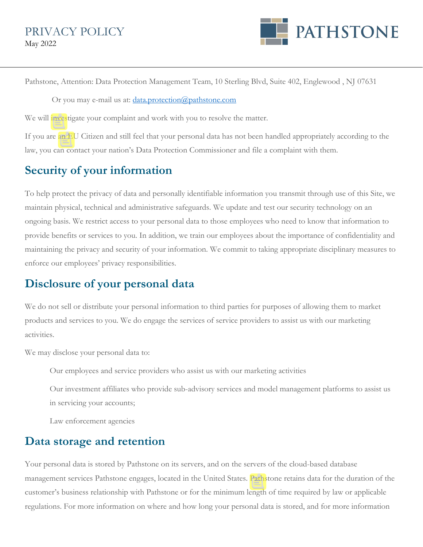

Pathstone, Attention: Data Protection Management Team, 10 Sterling Blvd, Suite 402, Englewood , NJ 07631

Or you may e-mail us at: [data.protection@pathstone.com](mailto:data.protection@pathstone.com)

We will investigate your complaint and work with you to resolve the matter.

If you are an EU Citizen and still feel that your personal data has not been handled appropriately according to the law, you can contact your nation's Data Protection Commissioner and file a complaint with them.

## **Security of your information**

To help protect the privacy of data and personally identifiable information you transmit through use of this Site, we maintain physical, technical and administrative safeguards. We update and test our security technology on an ongoing basis. We restrict access to your personal data to those employees who need to know that information to provide benefits or services to you. In addition, we train our employees about the importance of confidentiality and maintaining the privacy and security of your information. We commit to taking appropriate disciplinary measures to enforce our employees' privacy responsibilities.

## **Disclosure of your personal data**

We do not sell or distribute your personal information to third parties for purposes of allowing them to market products and services to you. We do engage the services of service providers to assist us with our marketing activities.

We may disclose your personal data to:

Our employees and service providers who assist us with our marketing activities

Our investment affiliates who provide sub-advisory services and model management platforms to assist us in servicing your accounts;

Law enforcement agencies

#### **Data storage and retention**

Your personal data is stored by Pathstone on its servers, and on the servers of the cloud-based database management services Pathstone engages, located in the United States. Pathstone retains data for the duration of the customer's business relationship with Pathstone or for the minimum length of time required by law or applicable regulations. For more information on where and how long your personal data is stored, and for more information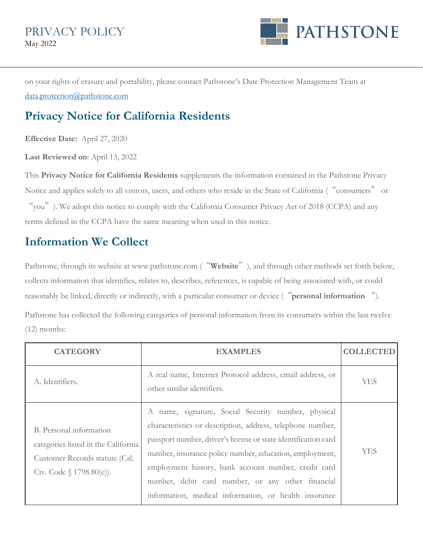

on your rights of erasure and portability, please contact Pathstone's Date Protection Management Team at [data.protection@pathstone.com](mailto:data.protection@pathstone.com) 

# **Privacy Notice for California Residents**

**Effective Date:** April 27, 2020

**Last Reviewed on**: April 13, 2022

This **Privacy Notice for California Residents** supplements the information contained in the Pathstone Privacy Notice and applies solely to all visitors, users, and others who reside in the State of California ("consumers" or

"you"). We adopt this notice to comply with the California Consumer Privacy Act of 2018 (CCPA) and any terms defined in the CCPA have the same meaning when used in this notice.

## **Information We Collect**

Pathstone, through its website at www.pathstone.com ("**Website**"), and through other methods set forth below, collects information that identifies, relates to, describes, references, is capable of being associated with, or could reasonably be linked, directly or indirectly, with a particular consumer or device ("**personal information** "). Pathstone has collected the following categories of personal information from its consumers within the last twelve

(12) months:

| <b>CATEGORY</b>                                                                                                                 | <b>EXAMPLES</b>                                                                                                                                                                                                                                                                                                                                                                                                    | <b>COLLECTED</b> |
|---------------------------------------------------------------------------------------------------------------------------------|--------------------------------------------------------------------------------------------------------------------------------------------------------------------------------------------------------------------------------------------------------------------------------------------------------------------------------------------------------------------------------------------------------------------|------------------|
| A. Identifiers.                                                                                                                 | A real name, Internet Protocol address, email address, or<br>other similar identifiers.                                                                                                                                                                                                                                                                                                                            | YES              |
| B. Personal information<br>categories listed in the California<br>Customer Records statute (Cal.<br>Civ. Code $\{1798.80(e)\}.$ | name, signature, Social Security number, physical<br>characteristics or description, address, telephone number,<br>passport number, driver's license or state identification card<br>number, insurance policy number, education, employment,<br>employment history, bank account number, credit card<br>number, debit card number, or any other financial<br>information, medical information, or health insurance | YES              |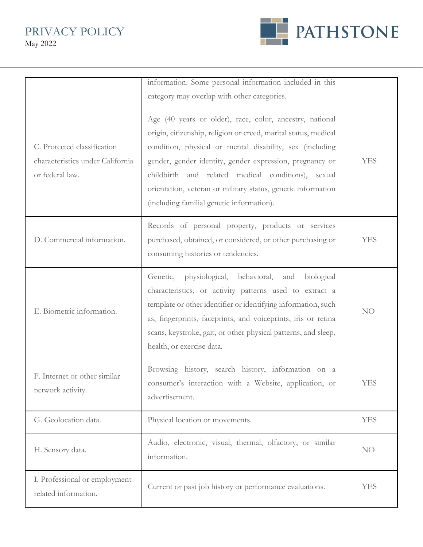PRIVACY POLICY May 2022



|                                                                                    | information. Some personal information included in this<br>category may overlap with other categories.                                                                                                                                                                                                                                                                                                                 |                 |
|------------------------------------------------------------------------------------|------------------------------------------------------------------------------------------------------------------------------------------------------------------------------------------------------------------------------------------------------------------------------------------------------------------------------------------------------------------------------------------------------------------------|-----------------|
| C. Protected classification<br>characteristics under California<br>or federal law. | Age (40 years or older), race, color, ancestry, national<br>origin, citizenship, religion or creed, marital status, medical<br>condition, physical or mental disability, sex (including<br>gender, gender identity, gender expression, pregnancy or<br>childbirth and related medical conditions), sexual<br>orientation, veteran or military status, genetic information<br>(including familial genetic information). | <b>YES</b>      |
| D. Commercial information.                                                         | Records of personal property, products or services<br>purchased, obtained, or considered, or other purchasing or<br>consuming histories or tendencies.                                                                                                                                                                                                                                                                 | <b>YES</b>      |
| E. Biometric information.                                                          | Genetic, physiological,<br>behavioral,<br>and<br>biological<br>characteristics, or activity patterns used to extract a<br>template or other identifier or identifying information, such<br>as, fingerprints, faceprints, and voiceprints, iris or retina<br>scans, keystroke, gait, or other physical patterns, and sleep,<br>health, or exercise data.                                                                | NO <sub>1</sub> |
| F. Internet or other similar<br>network activity.                                  | Browsing history, search history, information on a<br>consumer's interaction with a Website, application, or<br>advertisement.                                                                                                                                                                                                                                                                                         | <b>YES</b>      |
| G. Geolocation data.                                                               | Physical location or movements.                                                                                                                                                                                                                                                                                                                                                                                        | <b>YES</b>      |
| H. Sensory data.                                                                   | Audio, electronic, visual, thermal, olfactory, or similar<br>information.                                                                                                                                                                                                                                                                                                                                              | NO <sub>1</sub> |
| I. Professional or employment-<br>related information.                             | Current or past job history or performance evaluations.                                                                                                                                                                                                                                                                                                                                                                | <b>YES</b>      |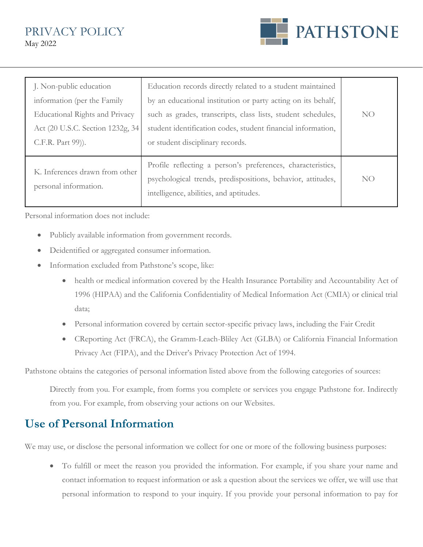PRIVACY POLICY May 2022



| J. Non-public education<br>information (per the Family<br><b>Educational Rights and Privacy</b><br>Act (20 U.S.C. Section 1232g, 34<br>C.F.R. Part 99)). | Education records directly related to a student maintained<br>by an educational institution or party acting on its behalf,<br>such as grades, transcripts, class lists, student schedules,<br>student identification codes, student financial information,<br>or student disciplinary records. | NO <sub>1</sub> |
|----------------------------------------------------------------------------------------------------------------------------------------------------------|------------------------------------------------------------------------------------------------------------------------------------------------------------------------------------------------------------------------------------------------------------------------------------------------|-----------------|
| K. Inferences drawn from other<br>personal information.                                                                                                  | Profile reflecting a person's preferences, characteristics,<br>psychological trends, predispositions, behavior, attitudes,<br>intelligence, abilities, and aptitudes.                                                                                                                          | NO <sub>1</sub> |

Personal information does not include:

- Publicly available information from government records.
- Deidentified or aggregated consumer information.
- Information excluded from Pathstone's scope, like:
	- health or medical information covered by the Health Insurance Portability and Accountability Act of 1996 (HIPAA) and the California Confidentiality of Medical Information Act (CMIA) or clinical trial data;
	- Personal information covered by certain sector-specific privacy laws, including the Fair Credit
	- CReporting Act (FRCA), the Gramm-Leach-Bliley Act (GLBA) or California Financial Information Privacy Act (FIPA), and the Driver's Privacy Protection Act of 1994.

Pathstone obtains the categories of personal information listed above from the following categories of sources:

Directly from you. For example, from forms you complete or services you engage Pathstone for. Indirectly from you. For example, from observing your actions on our Websites.

## **Use of Personal Information**

We may use, or disclose the personal information we collect for one or more of the following business purposes:

• To fulfill or meet the reason you provided the information. For example, if you share your name and contact information to request information or ask a question about the services we offer, we will use that personal information to respond to your inquiry. If you provide your personal information to pay for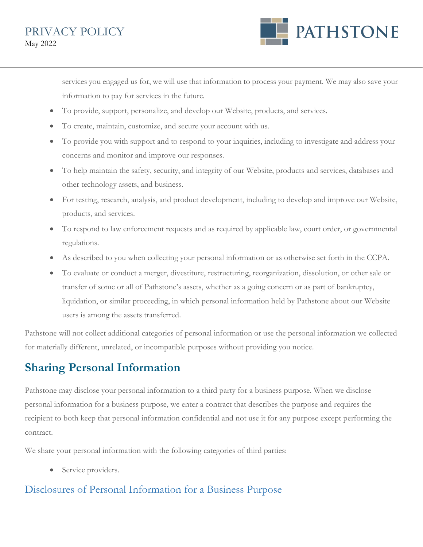

services you engaged us for, we will use that information to process your payment. We may also save your information to pay for services in the future.

- To provide, support, personalize, and develop our Website, products, and services.
- To create, maintain, customize, and secure your account with us.
- To provide you with support and to respond to your inquiries, including to investigate and address your concerns and monitor and improve our responses.
- To help maintain the safety, security, and integrity of our Website, products and services, databases and other technology assets, and business.
- For testing, research, analysis, and product development, including to develop and improve our Website, products, and services.
- To respond to law enforcement requests and as required by applicable law, court order, or governmental regulations.
- As described to you when collecting your personal information or as otherwise set forth in the CCPA.
- To evaluate or conduct a merger, divestiture, restructuring, reorganization, dissolution, or other sale or transfer of some or all of Pathstone's assets, whether as a going concern or as part of bankruptcy, liquidation, or similar proceeding, in which personal information held by Pathstone about our Website users is among the assets transferred.

Pathstone will not collect additional categories of personal information or use the personal information we collected for materially different, unrelated, or incompatible purposes without providing you notice.

# **Sharing Personal Information**

Pathstone may disclose your personal information to a third party for a business purpose. When we disclose personal information for a business purpose, we enter a contract that describes the purpose and requires the recipient to both keep that personal information confidential and not use it for any purpose except performing the contract.

We share your personal information with the following categories of third parties:

Service providers.

#### Disclosures of Personal Information for a Business Purpose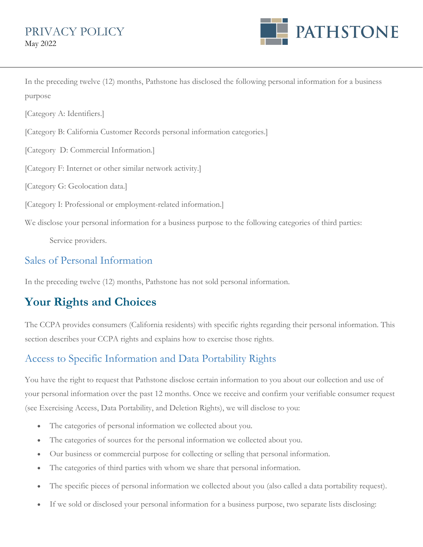

In the preceding twelve (12) months, Pathstone has disclosed the following personal information for a business purpose

[Category A: Identifiers.]

[Category B: California Customer Records personal information categories.]

[Category D: Commercial Information.]

[Category F: Internet or other similar network activity.]

[Category G: Geolocation data.]

[Category I: Professional or employment-related information.]

We disclose your personal information for a business purpose to the following categories of third parties:

Service providers.

#### Sales of Personal Information

In the preceding twelve (12) months, Pathstone has not sold personal information.

# **Your Rights and Choices**

The CCPA provides consumers (California residents) with specific rights regarding their personal information. This section describes your CCPA rights and explains how to exercise those rights.

## Access to Specific Information and Data Portability Rights

You have the right to request that Pathstone disclose certain information to you about our collection and use of your personal information over the past 12 months. Once we receive and confirm your verifiable consumer request (see Exercising Access, Data Portability, and Deletion Rights), we will disclose to you:

- The categories of personal information we collected about you.
- The categories of sources for the personal information we collected about you.
- Our business or commercial purpose for collecting or selling that personal information.
- The categories of third parties with whom we share that personal information.
- The specific pieces of personal information we collected about you (also called a data portability request).
- If we sold or disclosed your personal information for a business purpose, two separate lists disclosing: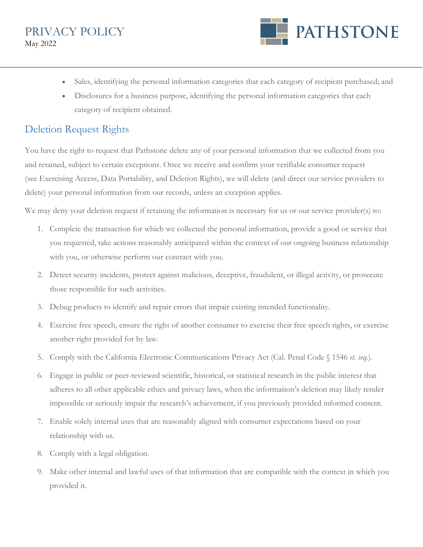

- Sales, identifying the personal information categories that each category of recipient purchased; and
- Disclosures for a business purpose, identifying the personal information categories that each category of recipient obtained.

#### Deletion Request Rights

You have the right to request that Pathstone delete any of your personal information that we collected from you and retained, subject to certain exceptions. Once we receive and confirm your verifiable consumer request (see Exercising Access, Data Portability, and Deletion Rights), we will delete (and direct our service providers to delete) your personal information from our records, unless an exception applies.

We may deny your deletion request if retaining the information is necessary for us or our service provider(s) to:

- 1. Complete the transaction for which we collected the personal information, provide a good or service that you requested, take actions reasonably anticipated within the context of our ongoing business relationship with you, or otherwise perform our contract with you.
- 2. Detect security incidents, protect against malicious, deceptive, fraudulent, or illegal activity, or prosecute those responsible for such activities.
- 3. Debug products to identify and repair errors that impair existing intended functionality.
- 4. Exercise free speech, ensure the right of another consumer to exercise their free speech rights, or exercise another right provided for by law.
- 5. Comply with the California Electronic Communications Privacy Act (Cal. Penal Code § 1546 *et. seq.*).
- 6. Engage in public or peer-reviewed scientific, historical, or statistical research in the public interest that adheres to all other applicable ethics and privacy laws, when the information's deletion may likely render impossible or seriously impair the research's achievement, if you previously provided informed consent.
- 7. Enable solely internal uses that are reasonably aligned with consumer expectations based on your relationship with us.
- 8. Comply with a legal obligation.
- 9. Make other internal and lawful uses of that information that are compatible with the context in which you provided it.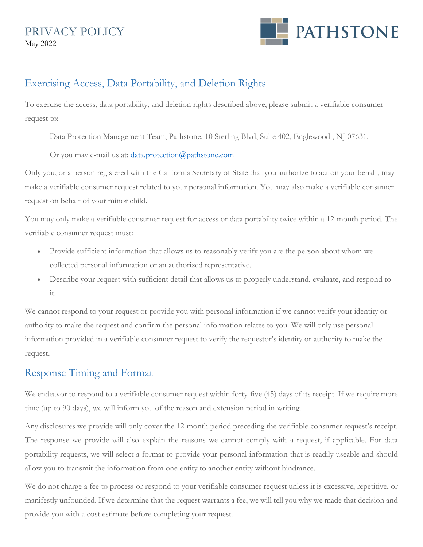

### Exercising Access, Data Portability, and Deletion Rights

To exercise the access, data portability, and deletion rights described above, please submit a verifiable consumer request to:

Data Protection Management Team, Pathstone, 10 Sterling Blvd, Suite 402, Englewood , NJ 07631.

Or you may e-mail us at: [data.protection@pathstone.com](mailto:data.protection@pathstone.com)

Only you, or a person registered with the California Secretary of State that you authorize to act on your behalf, may make a verifiable consumer request related to your personal information. You may also make a verifiable consumer request on behalf of your minor child.

You may only make a verifiable consumer request for access or data portability twice within a 12-month period. The verifiable consumer request must:

- Provide sufficient information that allows us to reasonably verify you are the person about whom we collected personal information or an authorized representative.
- Describe your request with sufficient detail that allows us to properly understand, evaluate, and respond to it.

We cannot respond to your request or provide you with personal information if we cannot verify your identity or authority to make the request and confirm the personal information relates to you. We will only use personal information provided in a verifiable consumer request to verify the requestor's identity or authority to make the request.

#### Response Timing and Format

We endeavor to respond to a verifiable consumer request within forty-five (45) days of its receipt. If we require more time (up to 90 days), we will inform you of the reason and extension period in writing.

Any disclosures we provide will only cover the 12-month period preceding the verifiable consumer request's receipt. The response we provide will also explain the reasons we cannot comply with a request, if applicable. For data portability requests, we will select a format to provide your personal information that is readily useable and should allow you to transmit the information from one entity to another entity without hindrance.

We do not charge a fee to process or respond to your verifiable consumer request unless it is excessive, repetitive, or manifestly unfounded. If we determine that the request warrants a fee, we will tell you why we made that decision and provide you with a cost estimate before completing your request.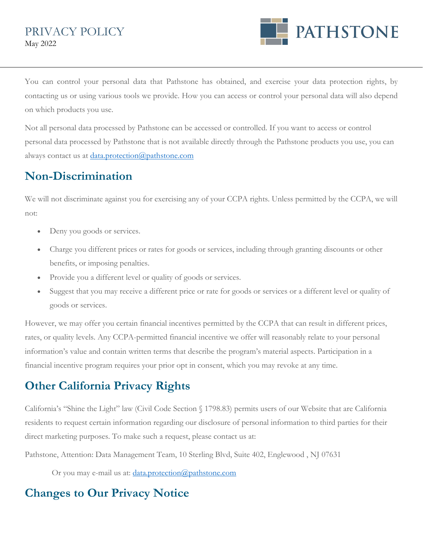

You can control your personal data that Pathstone has obtained, and exercise your data protection rights, by contacting us or using various tools we provide. How you can access or control your personal data will also depend on which products you use.

Not all personal data processed by Pathstone can be accessed or controlled. If you want to access or control personal data processed by Pathstone that is not available directly through the Pathstone products you use, you can always contact us at [data.protection@pathstone.com](mailto:data.protection@pathstone.com)

# **Non-Discrimination**

We will not discriminate against you for exercising any of your CCPA rights. Unless permitted by the CCPA, we will not:

- Deny you goods or services.
- Charge you different prices or rates for goods or services, including through granting discounts or other benefits, or imposing penalties.
- Provide you a different level or quality of goods or services.
- Suggest that you may receive a different price or rate for goods or services or a different level or quality of goods or services.

However, we may offer you certain financial incentives permitted by the CCPA that can result in different prices, rates, or quality levels. Any CCPA-permitted financial incentive we offer will reasonably relate to your personal information's value and contain written terms that describe the program's material aspects. Participation in a financial incentive program requires your prior opt in consent, which you may revoke at any time.

# **Other California Privacy Rights**

California's "Shine the Light" law (Civil Code Section § 1798.83) permits users of our Website that are California residents to request certain information regarding our disclosure of personal information to third parties for their direct marketing purposes. To make such a request, please contact us at:

Pathstone, Attention: Data Management Team, 10 Sterling Blvd, Suite 402, Englewood , NJ 07631

Or you may e-mail us at: *data.protection@pathstone.com* 

# **Changes to Our Privacy Notice**